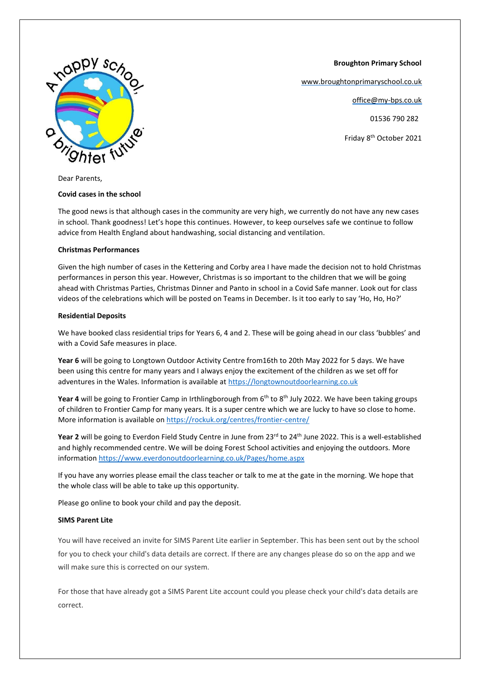**Broughton Primary School**

[www.broughtonprimaryschool.co.uk](http://www.broughtonprimaryschool.co.uk/)

office@my-bps.co.uk

01536 790 282

Friday 8th October 2021



Dear Parents,

## **Covid cases in the school**

The good news is that although cases in the community are very high, we currently do not have any new cases in school. Thank goodness! Let's hope this continues. However, to keep ourselves safe we continue to follow advice from Health England about handwashing, social distancing and ventilation.

# **Christmas Performances**

Given the high number of cases in the Kettering and Corby area I have made the decision not to hold Christmas performances in person this year. However, Christmas is so important to the children that we will be going ahead with Christmas Parties, Christmas Dinner and Panto in school in a Covid Safe manner. Look out for class videos of the celebrations which will be posted on Teams in December. Is it too early to say 'Ho, Ho, Ho?'

# **Residential Deposits**

We have booked class residential trips for Years 6, 4 and 2. These will be going ahead in our class 'bubbles' and with a Covid Safe measures in place.

**Year 6** will be going to Longtown Outdoor Activity Centre from16th to 20th May 2022 for 5 days. We have been using this centre for many years and I always enjoy the excitement of the children as we set off for adventures in the Wales. Information is available at [https://longtownoutdoorlearning.co.uk](https://longtownoutdoorlearning.co.uk/)

Year 4 will be going to Frontier Camp in Irthlingborough from 6<sup>th</sup> to 8<sup>th</sup> July 2022. We have been taking groups of children to Frontier Camp for many years. It is a super centre which we are lucky to have so close to home. More information is available o[n https://rockuk.org/centres/frontier-centre/](https://rockuk.org/centres/frontier-centre/)

Year 2 will be going to Everdon Field Study Centre in June from 23<sup>rd</sup> to 24<sup>th</sup> June 2022. This is a well-established and highly recommended centre. We will be doing Forest School activities and enjoying the outdoors. More informatio[n https://www.everdonoutdoorlearning.co.uk/Pages/home.aspx](https://www.everdonoutdoorlearning.co.uk/Pages/home.aspx)

If you have any worries please email the class teacher or talk to me at the gate in the morning. We hope that the whole class will be able to take up this opportunity.

Please go online to book your child and pay the deposit.

# **SIMS Parent Lite**

You will have received an invite for SIMS Parent Lite earlier in September. This has been sent out by the school for you to check your child's data details are correct. If there are any changes please do so on the app and we will make sure this is corrected on our system.

For those that have already got a SIMS Parent Lite account could you please check your child's data details are correct.